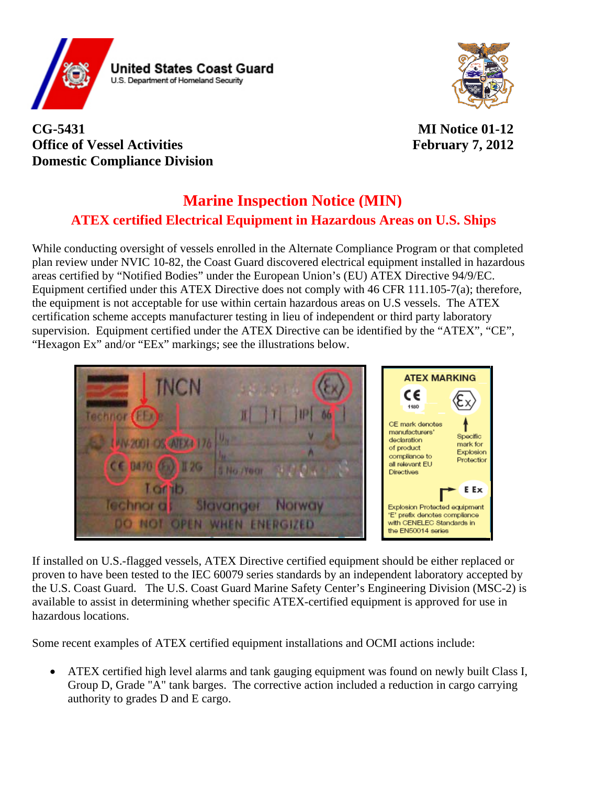



## **CG-5431 MI Notice 01-12 Office of Vessel Activities** February 7, 2012 **Domestic Compliance Division**

## **ATEX certified Electrical Equipment in Hazardous Areas on U.S. Ships Marine Inspection Notice (MIN)**

While conducting oversight of vessels enrolled in the Alternate Compliance Program or that completed plan review under NVIC 10-82, the Coast Guard discovered electrical equipment installed in hazardous areas certified by "Notified Bodies" under the European Union's (EU) ATEX Directive 94/9/EC. Equipment certified under this ATEX Directive does not comply with 46 CFR 111.105-7(a); therefore, the equipment is not acceptable for use within certain hazardous areas on U.S vessels. The ATEX certification scheme accepts manufacturer testing in lieu of independent or third party laboratory supervision. Equipment certified under the ATEX Directive can be identified by the "ATEX", "CE", "Hexagon Ex" and/or "EEx" markings; see the illustrations below.



If installed on U.S.-flagged vessels, ATEX Directive certified equipment should be either replaced or proven to have been tested to the IEC 60079 series standards by an independent laboratory accepted by the U.S. Coast Guard. The U.S. Coast Guard Marine Safety Center's Engineering Division (MSC-2) is available to assist in determining whether specific ATEX-certified equipment is approved for use in hazardous locations.

Some recent examples of ATEX certified equipment installations and OCMI actions include:

• ATEX certified high level alarms and tank gauging equipment was found on newly built Class I, Group D, Grade "A" tank barges. The corrective action included a reduction in cargo carrying authority to grades D and E cargo.